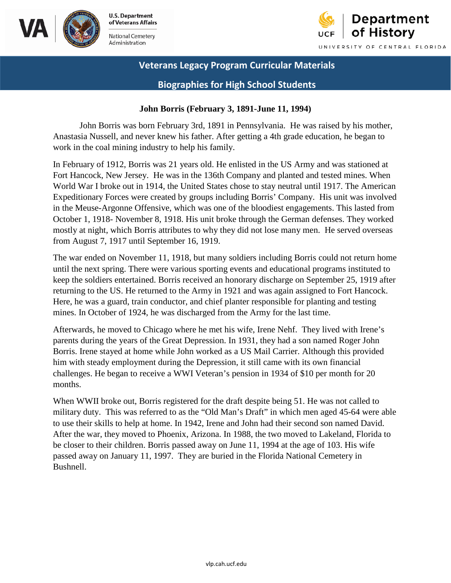



### **Biographies for High School Students**

#### **John Borris (February 3, 1891-June 11, 1994)**

John Borris was born February 3rd, 1891 in Pennsylvania. He was raised by his mother, Anastasia Nussell, and never knew his father. After getting a 4th grade education, he began to work in the coal mining industry to help his family.

 In February of 1912, Borris was 21 years old. He enlisted in the US Army and was stationed at Fort Hancock, New Jersey. He was in the 136th Company and planted and tested mines. When World War I broke out in 1914, the United States chose to stay neutral until 1917. The American Expeditionary Forces were created by groups including Borris' Company. His unit was involved in the Meuse-Argonne Offensive, which was one of the bloodiest engagements. This lasted from October 1, 1918- November 8, 1918. His unit broke through the German defenses. They worked mostly at night, which Borris attributes to why they did not lose many men. He served overseas from August 7, 1917 until September 16, 1919.

 Here, he was a guard, train conductor, and chief planter responsible for planting and testing The war ended on November 11, 1918, but many soldiers including Borris could not return home until the next spring. There were various sporting events and educational programs instituted to keep the soldiers entertained. Borris received an honorary discharge on September 25, 1919 after returning to the US. He returned to the Army in 1921 and was again assigned to Fort Hancock. mines. In October of 1924, he was discharged from the Army for the last time.

 parents during the years of the Great Depression. In 1931, they had a son named Roger John Afterwards, he moved to Chicago where he met his wife, Irene Nehf. They lived with Irene's Borris. Irene stayed at home while John worked as a US Mail Carrier. Although this provided him with steady employment during the Depression, it still came with its own financial challenges. He began to receive a WWI Veteran's pension in 1934 of \$10 per month for 20 months.

When WWII broke out, Borris registered for the draft despite being 51. He was not called to military duty. This was referred to as the "Old Man's Draft" in which men aged 45-64 were able to use their skills to help at home. In 1942, Irene and John had their second son named David. After the war, they moved to Phoenix, Arizona. In 1988, the two moved to Lakeland, Florida to be closer to their children. Borris passed away on June 11, 1994 at the age of 103. His wife passed away on January 11, 1997. They are buried in the Florida National Cemetery in Bushnell.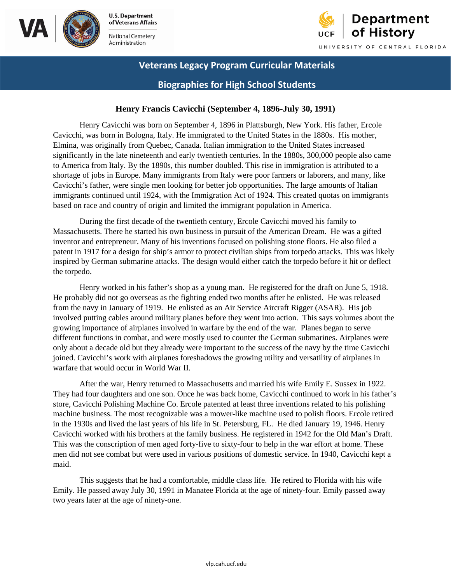



## **Biographies for High School Students**

#### **Henry Francis Cavicchi (September 4, 1896-July 30, 1991)**

 to America from Italy. By the 1890s, this number doubled. This rise in immigration is attributed to a shortage of jobs in Europe. Many immigrants from Italy were poor farmers or laborers, and many, like Henry Cavicchi was born on September 4, 1896 in Plattsburgh, New York. His father, Ercole Cavicchi, was born in Bologna, Italy. He immigrated to the United States in the 1880s. His mother, Elmina, was originally from Quebec, Canada. Italian immigration to the United States increased significantly in the late nineteenth and early twentieth centuries. In the 1880s, 300,000 people also came Cavicchi's father, were single men looking for better job opportunities. The large amounts of Italian immigrants continued until 1924, with the Immigration Act of 1924. This created quotas on immigrants based on race and country of origin and limited the immigrant population in America.

 inventor and entrepreneur. Many of his inventions focused on polishing stone floors. He also filed a patent in 1917 for a design for ship's armor to protect civilian ships from torpedo attacks. This was likely inspired by German submarine attacks. The design would either catch the torpedo before it hit or deflect During the first decade of the twentieth century, Ercole Cavicchi moved his family to Massachusetts. There he started his own business in pursuit of the American Dream. He was a gifted the torpedo.

 involved putting cables around military planes before they went into action. This says volumes about the Henry worked in his father's shop as a young man. He registered for the draft on June 5, 1918. He probably did not go overseas as the fighting ended two months after he enlisted. He was released from the navy in January of 1919. He enlisted as an Air Service Aircraft Rigger (ASAR). His job growing importance of airplanes involved in warfare by the end of the war. Planes began to serve different functions in combat, and were mostly used to counter the German submarines. Airplanes were only about a decade old but they already were important to the success of the navy by the time Cavicchi joined. Cavicchi's work with airplanes foreshadows the growing utility and versatility of airplanes in warfare that would occur in World War II.

 store, Cavicchi Polishing Machine Co. Ercole patented at least three inventions related to his polishing Cavicchi worked with his brothers at the family business. He registered in 1942 for the Old Man's Draft. After the war, Henry returned to Massachusetts and married his wife Emily E. Sussex in 1922. They had four daughters and one son. Once he was back home, Cavicchi continued to work in his father's machine business. The most recognizable was a mower-like machine used to polish floors. Ercole retired in the 1930s and lived the last years of his life in St. Petersburg, FL. He died January 19, 1946. Henry This was the conscription of men aged forty-five to sixty-four to help in the war effort at home. These men did not see combat but were used in various positions of domestic service. In 1940, Cavicchi kept a maid.

This suggests that he had a comfortable, middle class life. He retired to Florida with his wife Emily. He passed away July 30, 1991 in Manatee Florida at the age of ninety-four. Emily passed away two years later at the age of ninety-one.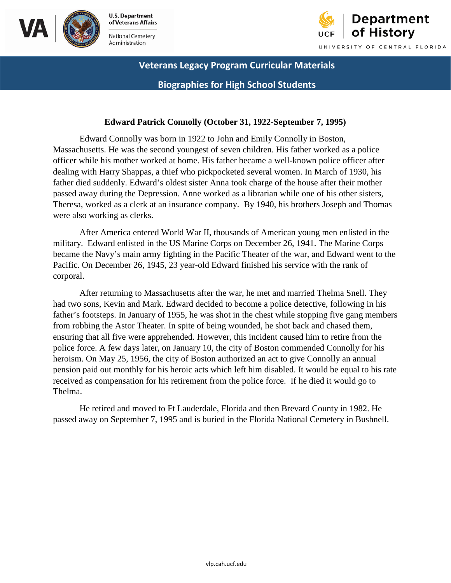



# **Veterans Legacy Program Curricular Materials Biographies for High School Students**

#### **Edward Patrick Connolly (October 31, 1922-September 7, 1995)**

 Massachusetts. He was the second youngest of seven children. His father worked as a police Theresa, worked as a clerk at an insurance company. By 1940, his brothers Joseph and Thomas Edward Connolly was born in 1922 to John and Emily Connolly in Boston, officer while his mother worked at home. His father became a well-known police officer after dealing with Harry Shappas, a thief who pickpocketed several women. In March of 1930, his father died suddenly. Edward's oldest sister Anna took charge of the house after their mother passed away during the Depression. Anne worked as a librarian while one of his other sisters, were also working as clerks.

After America entered World War II, thousands of American young men enlisted in the military. Edward enlisted in the US Marine Corps on December 26, 1941. The Marine Corps became the Navy's main army fighting in the Pacific Theater of the war, and Edward went to the Pacific. On December 26, 1945, 23 year-old Edward finished his service with the rank of corporal.

 After returning to Massachusetts after the war, he met and married Thelma Snell. They police force. A few days later, on January 10, the city of Boston commended Connolly for his received as compensation for his retirement from the police force. If he died it would go to had two sons, Kevin and Mark. Edward decided to become a police detective, following in his father's footsteps. In January of 1955, he was shot in the chest while stopping five gang members from robbing the Astor Theater. In spite of being wounded, he shot back and chased them, ensuring that all five were apprehended. However, this incident caused him to retire from the heroism. On May 25, 1956, the city of Boston authorized an act to give Connolly an annual pension paid out monthly for his heroic acts which left him disabled. It would be equal to his rate Thelma.

He retired and moved to Ft Lauderdale, Florida and then Brevard County in 1982. He passed away on September 7, 1995 and is buried in the Florida National Cemetery in Bushnell.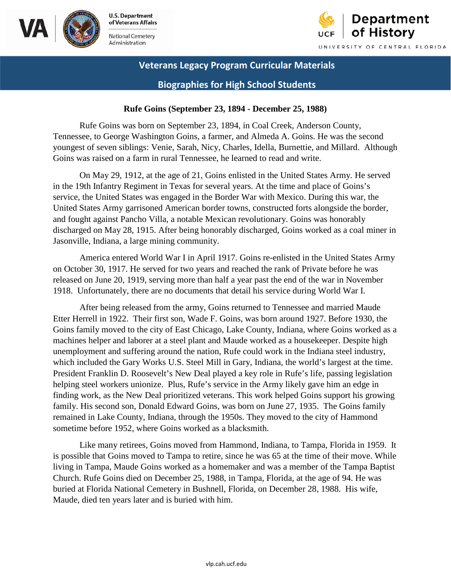



### **Biographies for High School Students**

#### **Rufe Goins (September 23, 1894 - December 25, 1988)**

Goins was raised on a farm in rural Tennessee, he learned to read and write. Rufe Goins was born on September 23, 1894, in Coal Creek, Anderson County, Tennessee, to George Washington Goins, a farmer, and Almeda A. Goins. He was the second youngest of seven siblings: Venie, Sarah, Nicy, Charles, Idella, Burnettie, and Millard. Although

 in the 19th Infantry Regiment in Texas for several years. At the time and place of Goins's On May 29, 1912, at the age of 21, Goins enlisted in the United States Army. He served service, the United States was engaged in the Border War with Mexico. During this war, the United States Army garrisoned American border towns, constructed forts alongside the border, and fought against Pancho Villa, a notable Mexican revolutionary. Goins was honorably discharged on May 28, 1915. After being honorably discharged, Goins worked as a coal miner in Jasonville, Indiana, a large mining community.

America entered World War I in April 1917. Goins re-enlisted in the United States Army on October 30, 1917. He served for two years and reached the rank of Private before he was released on June 20, 1919, serving more than half a year past the end of the war in November 1918. Unfortunately, there are no documents that detail his service during World War I.

After being released from the army, Goins returned to Tennessee and married Maude Etter Herrell in 1922. Their first son, Wade F. Goins, was born around 1927. Before 1930, the Goins family moved to the city of East Chicago, Lake County, Indiana, where Goins worked as a machines helper and laborer at a steel plant and Maude worked as a housekeeper. Despite high unemployment and suffering around the nation, Rufe could work in the Indiana steel industry, which included the Gary Works U.S. Steel Mill in Gary, Indiana, the world's largest at the time. President Franklin D. Roosevelt's New Deal played a key role in Rufe's life, passing legislation helping steel workers unionize. Plus, Rufe's service in the Army likely gave him an edge in finding work, as the New Deal prioritized veterans. This work helped Goins support his growing family. His second son, Donald Edward Goins, was born on June 27, 1935. The Goins family remained in Lake County, Indiana, through the 1950s. They moved to the city of Hammond sometime before 1952, where Goins worked as a blacksmith.

Like many retirees, Goins moved from Hammond, Indiana, to Tampa, Florida in 1959. It is possible that Goins moved to Tampa to retire, since he was 65 at the time of their move. While living in Tampa, Maude Goins worked as a homemaker and was a member of the Tampa Baptist Church. Rufe Goins died on December 25, 1988, in Tampa, Florida, at the age of 94. He was buried at Florida National Cemetery in Bushnell, Florida, on December 28, 1988. His wife, Maude, died ten years later and is buried with him.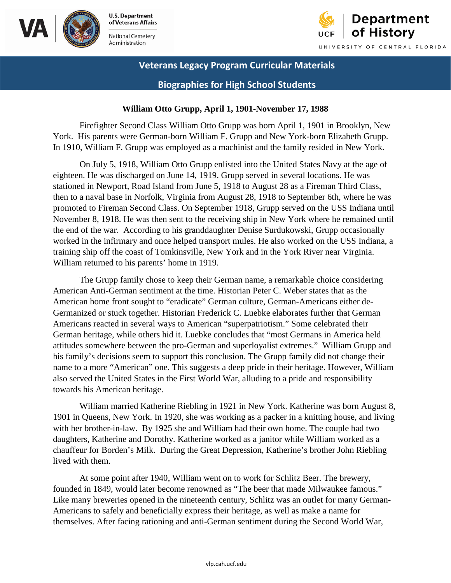



### **Biographies for High School Students**

#### **William Otto Grupp, April 1, 1901-November 17, 1988**

Firefighter Second Class William Otto Grupp was born April 1, 1901 in Brooklyn, New York. His parents were German-born William F. Grupp and New York-born Elizabeth Grupp. In 1910, William F. Grupp was employed as a machinist and the family resided in New York.

On July 5, 1918, William Otto Grupp enlisted into the United States Navy at the age of eighteen. He was discharged on June 14, 1919. Grupp served in several locations. He was stationed in Newport, Road Island from June 5, 1918 to August 28 as a Fireman Third Class, then to a naval base in Norfolk, Virginia from August 28, 1918 to September 6th, where he was promoted to Fireman Second Class. On September 1918, Grupp served on the USS Indiana until November 8, 1918. He was then sent to the receiving ship in New York where he remained until the end of the war. According to his granddaughter Denise Surdukowski, Grupp occasionally worked in the infirmary and once helped transport mules. He also worked on the USS Indiana, a training ship off the coast of Tomkinsville, New York and in the York River near Virginia. William returned to his parents' home in 1919.

The Grupp family chose to keep their German name, a remarkable choice considering American Anti-German sentiment at the time. Historian Peter C. Weber states that as the American home front sought to "eradicate" German culture, German-Americans either de-Germanized or stuck together. Historian Frederick C. Luebke elaborates further that German Americans reacted in several ways to American "superpatriotism." Some celebrated their German heritage, while others hid it. Luebke concludes that "most Germans in America held attitudes somewhere between the pro-German and superloyalist extremes." William Grupp and his family's decisions seem to support this conclusion. The Grupp family did not change their name to a more "American" one. This suggests a deep pride in their heritage. However, William also served the United States in the First World War, alluding to a pride and responsibility towards his American heritage.

 William married Katherine Riebling in 1921 in New York. Katherine was born August 8, 1901 in Queens, New York. In 1920, she was working as a packer in a knitting house, and living with her brother-in-law. By 1925 she and William had their own home. The couple had two daughters, Katherine and Dorothy. Katherine worked as a janitor while William worked as a chauffeur for Borden's Milk. During the Great Depression, Katherine's brother John Riebling lived with them.

At some point after 1940, William went on to work for Schlitz Beer. The brewery, founded in 1849, would later become renowned as "The beer that made Milwaukee famous." Like many breweries opened in the nineteenth century, Schlitz was an outlet for many German-Americans to safely and beneficially express their heritage, as well as make a name for themselves. After facing rationing and anti-German sentiment during the Second World War,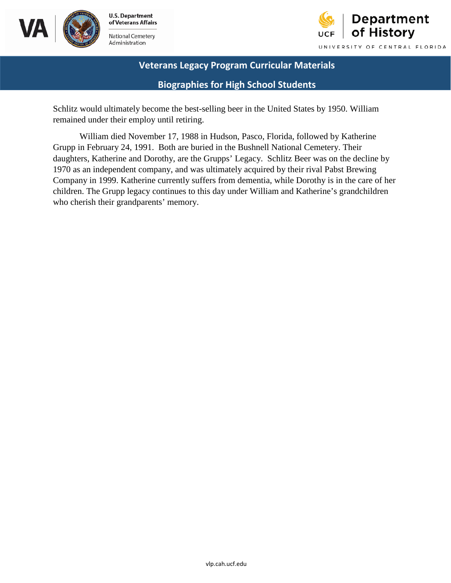



## **Biographies for High School Students**

remained under their employ until retiring. Schlitz would ultimately become the best-selling beer in the United States by 1950. William

 remained under their employ until retiring. William died November 17, 1988 in Hudson, Pasco, Florida, followed by Katherine who cherish their grandparents' memory. Grupp in February 24, 1991. Both are buried in the Bushnell National Cemetery. Their daughters, Katherine and Dorothy, are the Grupps' Legacy. Schlitz Beer was on the decline by 1970 as an independent company, and was ultimately acquired by their rival Pabst Brewing Company in 1999. Katherine currently suffers from dementia, while Dorothy is in the care of her children. The Grupp legacy continues to this day under William and Katherine's grandchildren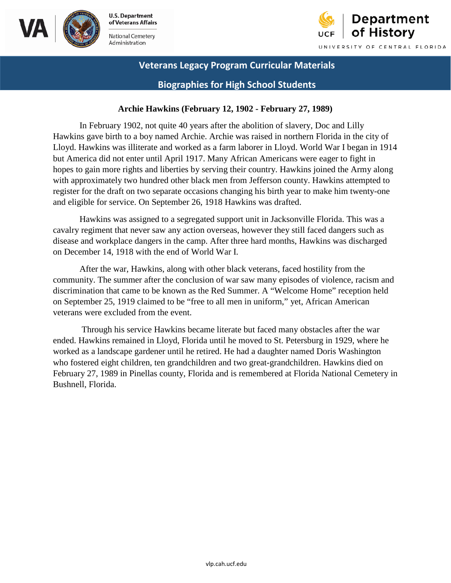



### **Biographies for High School Students**

#### **Archie Hawkins (February 12, 1902 - February 27, 1989)**

 but America did not enter until April 1917. Many African Americans were eager to fight in register for the draft on two separate occasions changing his birth year to make him twenty-one In February 1902, not quite 40 years after the abolition of slavery, Doc and Lilly Hawkins gave birth to a boy named Archie. Archie was raised in northern Florida in the city of Lloyd. Hawkins was illiterate and worked as a farm laborer in Lloyd. World War I began in 1914 hopes to gain more rights and liberties by serving their country. Hawkins joined the Army along with approximately two hundred other black men from Jefferson county. Hawkins attempted to and eligible for service. On September 26, 1918 Hawkins was drafted.

 on December 14, 1918 with the end of World War I. Hawkins was assigned to a segregated support unit in Jacksonville Florida. This was a cavalry regiment that never saw any action overseas, however they still faced dangers such as disease and workplace dangers in the camp. After three hard months, Hawkins was discharged

 community. The summer after the conclusion of war saw many episodes of violence, racism and After the war, Hawkins, along with other black veterans, faced hostility from the discrimination that came to be known as the Red Summer. A "Welcome Home" reception held on September 25, 1919 claimed to be "free to all men in uniform," yet, African American veterans were excluded from the event.

Through his service Hawkins became literate but faced many obstacles after the war ended. Hawkins remained in Lloyd, Florida until he moved to St. Petersburg in 1929, where he worked as a landscape gardener until he retired. He had a daughter named Doris Washington who fostered eight children, ten grandchildren and two great-grandchildren. Hawkins died on February 27, 1989 in Pinellas county, Florida and is remembered at Florida National Cemetery in Bushnell, Florida.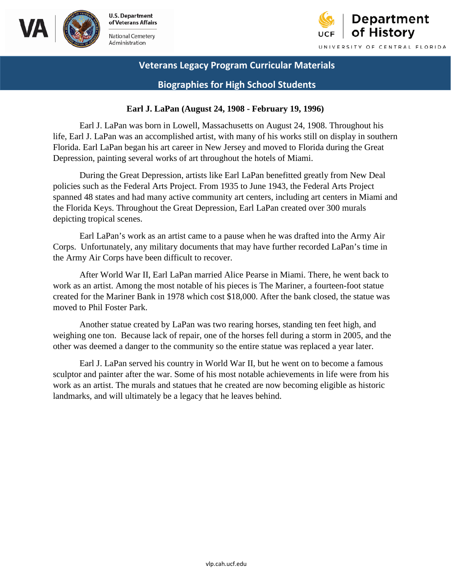



**Biographies for High School Students** 

#### **Earl J. LaPan (August 24, 1908 - February 19, 1996)**

Earl J. LaPan was born in Lowell, Massachusetts on August 24, 1908. Throughout his life, Earl J. LaPan was an accomplished artist, with many of his works still on display in southern Florida. Earl LaPan began his art career in New Jersey and moved to Florida during the Great Depression, painting several works of art throughout the hotels of Miami.

During the Great Depression, artists like Earl LaPan benefitted greatly from New Deal policies such as the Federal Arts Project. From 1935 to June 1943, the Federal Arts Project spanned 48 states and had many active community art centers, including art centers in Miami and the Florida Keys. Throughout the Great Depression, Earl LaPan created over 300 murals depicting tropical scenes.

 Earl LaPan's work as an artist came to a pause when he was drafted into the Army Air the Army Air Corps have been difficult to recover. Corps. Unfortunately, any military documents that may have further recorded LaPan's time in

 the Army Air Corps have been difficult to recover. After World War II, Earl LaPan married Alice Pearse in Miami. There, he went back to work as an artist. Among the most notable of his pieces is The Mariner, a fourteen-foot statue created for the Mariner Bank in 1978 which cost \$18,000. After the bank closed, the statue was moved to Phil Foster Park.

Another statue created by LaPan was two rearing horses, standing ten feet high, and weighing one ton. Because lack of repair, one of the horses fell during a storm in 2005, and the other was deemed a danger to the community so the entire statue was replaced a year later.

 landmarks, and will ultimately be a legacy that he leaves behind. Earl J. LaPan served his country in World War II, but he went on to become a famous sculptor and painter after the war. Some of his most notable achievements in life were from his work as an artist. The murals and statues that he created are now becoming eligible as historic